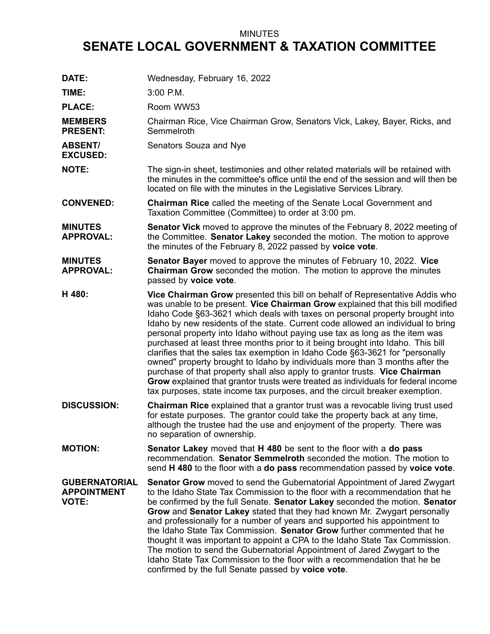## MINUTES

## **SENATE LOCAL GOVERNMENT & TAXATION COMMITTEE**

| DATE:                                                      | Wednesday, February 16, 2022                                                                                                                                                                                                                                                                                                                                                                                                                                                                                                                                                                                                                                                                                                                                                                                                                                                                                             |
|------------------------------------------------------------|--------------------------------------------------------------------------------------------------------------------------------------------------------------------------------------------------------------------------------------------------------------------------------------------------------------------------------------------------------------------------------------------------------------------------------------------------------------------------------------------------------------------------------------------------------------------------------------------------------------------------------------------------------------------------------------------------------------------------------------------------------------------------------------------------------------------------------------------------------------------------------------------------------------------------|
| TIME:                                                      | 3:00 P.M.                                                                                                                                                                                                                                                                                                                                                                                                                                                                                                                                                                                                                                                                                                                                                                                                                                                                                                                |
| <b>PLACE:</b>                                              | Room WW53                                                                                                                                                                                                                                                                                                                                                                                                                                                                                                                                                                                                                                                                                                                                                                                                                                                                                                                |
| <b>MEMBERS</b><br><b>PRESENT:</b>                          | Chairman Rice, Vice Chairman Grow, Senators Vick, Lakey, Bayer, Ricks, and<br>Semmelroth                                                                                                                                                                                                                                                                                                                                                                                                                                                                                                                                                                                                                                                                                                                                                                                                                                 |
| <b>ABSENT/</b><br><b>EXCUSED:</b>                          | Senators Souza and Nye                                                                                                                                                                                                                                                                                                                                                                                                                                                                                                                                                                                                                                                                                                                                                                                                                                                                                                   |
| <b>NOTE:</b>                                               | The sign-in sheet, testimonies and other related materials will be retained with<br>the minutes in the committee's office until the end of the session and will then be<br>located on file with the minutes in the Legislative Services Library.                                                                                                                                                                                                                                                                                                                                                                                                                                                                                                                                                                                                                                                                         |
| <b>CONVENED:</b>                                           | <b>Chairman Rice</b> called the meeting of the Senate Local Government and<br>Taxation Committee (Committee) to order at 3:00 pm.                                                                                                                                                                                                                                                                                                                                                                                                                                                                                                                                                                                                                                                                                                                                                                                        |
| <b>MINUTES</b><br><b>APPROVAL:</b>                         | <b>Senator Vick</b> moved to approve the minutes of the February 8, 2022 meeting of<br>the Committee. Senator Lakey seconded the motion. The motion to approve<br>the minutes of the February 8, 2022 passed by voice vote.                                                                                                                                                                                                                                                                                                                                                                                                                                                                                                                                                                                                                                                                                              |
| <b>MINUTES</b><br><b>APPROVAL:</b>                         | Senator Bayer moved to approve the minutes of February 10, 2022. Vice<br><b>Chairman Grow</b> seconded the motion. The motion to approve the minutes<br>passed by voice vote.                                                                                                                                                                                                                                                                                                                                                                                                                                                                                                                                                                                                                                                                                                                                            |
| H 480:                                                     | Vice Chairman Grow presented this bill on behalf of Representative Addis who<br>was unable to be present. Vice Chairman Grow explained that this bill modified<br>Idaho Code §63-3621 which deals with taxes on personal property brought into<br>Idaho by new residents of the state. Current code allowed an individual to bring<br>personal property into Idaho without paying use tax as long as the item was<br>purchased at least three months prior to it being brought into Idaho. This bill<br>clarifies that the sales tax exemption in Idaho Code §63-3621 for "personally<br>owned" property brought to Idaho by individuals more than 3 months after the<br>purchase of that property shall also apply to grantor trusts. Vice Chairman<br>Grow explained that grantor trusts were treated as individuals for federal income<br>tax purposes, state income tax purposes, and the circuit breaker exemption. |
| <b>DISCUSSION:</b>                                         | <b>Chairman Rice</b> explained that a grantor trust was a revocable living trust used<br>for estate purposes. The grantor could take the property back at any time,<br>although the trustee had the use and enjoyment of the property. There was<br>no separation of ownership.                                                                                                                                                                                                                                                                                                                                                                                                                                                                                                                                                                                                                                          |
| <b>MOTION:</b>                                             | <b>Senator Lakey</b> moved that H 480 be sent to the floor with a do pass<br>recommendation. Senator Semmelroth seconded the motion. The motion to<br>send H 480 to the floor with a do pass recommendation passed by voice vote.                                                                                                                                                                                                                                                                                                                                                                                                                                                                                                                                                                                                                                                                                        |
| <b>GUBERNATORIAL</b><br><b>APPOINTMENT</b><br><b>VOTE:</b> | <b>Senator Grow</b> moved to send the Gubernatorial Appointment of Jared Zwygart<br>to the Idaho State Tax Commission to the floor with a recommendation that he<br>be confirmed by the full Senate. Senator Lakey seconded the motion. Senator<br>Grow and Senator Lakey stated that they had known Mr. Zwygart personally<br>and professionally for a number of years and supported his appointment to<br>the Idaho State Tax Commission. Senator Grow further commented that he<br>thought it was important to appoint a CPA to the Idaho State Tax Commission.<br>The motion to send the Gubernatorial Appointment of Jared Zwygart to the<br>Idaho State Tax Commission to the floor with a recommendation that he be<br>confirmed by the full Senate passed by voice vote.                                                                                                                                         |